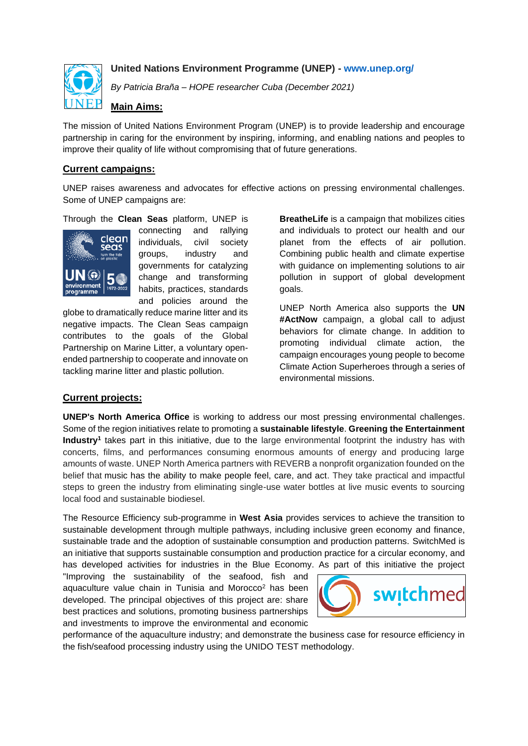

# **United Nations Environment Programme (UNEP) - [www.unep.org/](http://www.unep.org/)**

*By Patricia Braña – HOPE researcher Cuba (December 2021)*

## **Main Aims:**

The mission of United Nations Environment Program (UNEP) is to provide leadership and encourage partnership in caring for the environment by inspiring, informing, and enabling nations and peoples to improve their quality of life without compromising that of future generations.

## **Current campaigns:**

UNEP raises awareness and advocates for effective actions on pressing environmental challenges. Some of UNEP campaigns are:

Through the **Clean Seas** platform, UNEP is



connecting and rallying individuals, civil society groups, industry and governments for catalyzing change and transforming habits, practices, standards and policies around the

globe to dramatically reduce marine litter and its negative impacts. The Clean Seas campaign contributes to the goals of the Global Partnership on Marine Litter, a voluntary openended partnership to cooperate and innovate on tackling marine litter and plastic pollution.

**BreatheLife** is a campaign that mobilizes cities and individuals to protect our health and our planet from the effects of air pollution. Combining public health and climate expertise with guidance on implementing solutions to air pollution in support of global development goals.

UNEP North America also supports the **UN #ActNow** campaign, a global call to adjust behaviors for climate change. In addition to promoting individual climate action, the campaign encourages young people to become Climate Action Superheroes through a series of environmental missions.

#### **Current projects:**

**UNEP's North America Office** is working to address our most pressing environmental challenges. Some of the region initiatives relate to promoting a **sustainable lifestyle**. **Greening the Entertainment Industry<sup>1</sup>** takes part in this initiative, due to the large environmental footprint the industry has with concerts, films, and performances consuming enormous amounts of energy and producing large amounts of waste. UNEP North America partners with REVERB a nonprofit organization founded on the belief that music has the ability to make people feel, care, and act. They take practical and impactful steps to green the industry from eliminating single-use water bottles at live music events to sourcing local food and sustainable biodiesel.

The Resource Efficiency sub-programme in **West Asia** provides services to achieve the transition to sustainable development through multiple pathways, including inclusive green economy and finance, sustainable trade and the adoption of sustainable consumption and production patterns. SwitchMed is an initiative that supports sustainable consumption and production practice for a circular economy, and has developed activities for industries in the Blue Economy. As part of this initiative the project

"Improving the sustainability of the seafood, fish and aquaculture value chain in Tunisia and Morocco<sup>2</sup> has been developed. The principal objectives of this project are: share best practices and solutions, promoting business partnerships and investments to improve the environmental and economic



performance of the aquaculture industry; and demonstrate the business case for resource efficiency in the fish/seafood processing industry using the UNIDO TEST methodology.